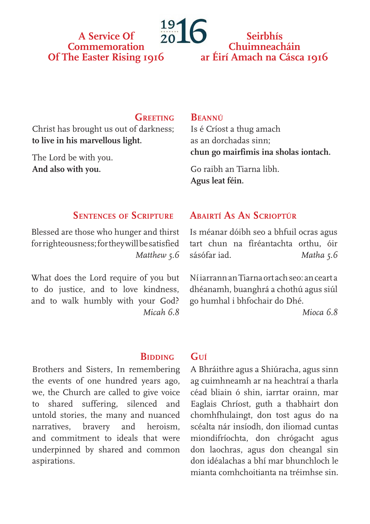# **A Service Of Commemoration Of The Easter Rising 1916**

# **Seirbhís Chuimneacháin ar Éirí Amach na Cásca 1916**

## **Greeting**

Christ has brought us out of darkness; **to live in his marvellous light.**

The Lord be with you. **And also with you.**

### **Beannú**

Is é Críost a thug amach as an dorchadas sinn; **chun go mairfimis ina sholas iontach.**

Go raibh an Tiarna libh. **Agus leat féin.**

## **Sentences of Scripture**

Blessed are those who hunger and thirst for righteousness; for they will be satisfied *Matthew 5.6*

What does the Lord require of you but to do justice, and to love kindness, and to walk humbly with your God? *Micah 6.8*

## **Abairtí As An Scrioptúr**

Is méanar dóibh seo a bhfuil ocras agus tart chun na fíréantachta orthu, óir sásófar iad. *Matha 5.6*

Ní iarrann an Tiarna ort ach seo: an ceart a dhéanamh, buanghrá a chothú agus siúl go humhal i bhfochair do Dhé.

*Mioca 6.8*

### **BIDDING**

**Guí**

Brothers and Sisters, In remembering the events of one hundred years ago, we, the Church are called to give voice to shared suffering, silenced and untold stories, the many and nuanced narratives, bravery and heroism, and commitment to ideals that were underpinned by shared and common aspirations.

A Bhráithre agus a Shiúracha, agus sinn ag cuimhneamh ar na heachtraí a tharla céad bliain ó shin, iarrtar orainn, mar Eaglais Chríost, guth a thabhairt don chomhfhulaingt, don tost agus do na scéalta nár insíodh, don iliomad cuntas miondifríochta, don chrógacht agus don laochras, agus don cheangal sin don idéalachas a bhí mar bhunchloch le mianta comhchoitianta na tréimhse sin.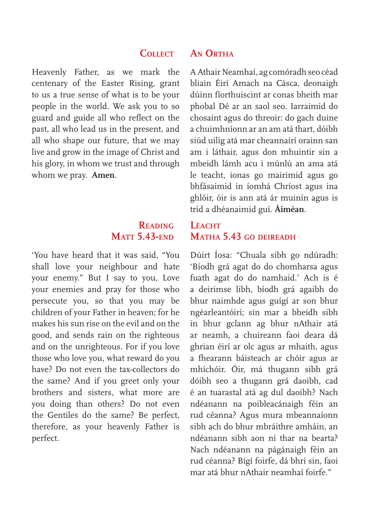## **Collect**

Heavenly Father, as we mark the centenary of the Easter Rising, grant to us a true sense of what is to be your people in the world. We ask you to so guard and guide all who reflect on the past, all who lead us in the present, and all who shape our future, that we may live and grow in the image of Christ and his glory, in whom we trust and through whom we pray. **Amen**.

# **Reading Matt 5.43-end**

'You have heard that it was said, "You shall love your neighbour and hate your enemy." But I say to you, Love your enemies and pray for those who persecute you, so that you may be children of your Father in heaven; for he makes his sun rise on the evil and on the good, and sends rain on the righteous and on the unrighteous. For if you love those who love you, what reward do you have? Do not even the tax-collectors do the same? And if you greet only your brothers and sisters, what more are you doing than others? Do not even the Gentiles do the same? Be perfect, therefore, as your heavenly Father is perfect.

# **An Ortha**

A Athair Neamhaí, ag comóradh seo céad bliain Éirí Amach na Cásca, deonaigh dúinn fíorthuiscint ar conas bheith mar phobal Dé ar an saol seo. Iarraimid do chosaint agus do threoir: do gach duine a chuimhníonn ar an am atá thart, dóibh siúd uilig atá mar cheannairí orainn san am i láthair, agus don mhuintir sin a mbeidh lámh acu i múnlú an ama atá le teacht, ionas go mairimid agus go bhfásaimid in íomhá Chríost agus ina ghlóir, óir is ann atá ár muinín agus is tríd a dhéanaimid guí. **Áiméan**.

# Léach<sup>T</sup> **Matha 5.43 go deireadh**

Dúirt Íosa: "Chuala sibh go ndúradh: 'Bíodh grá agat do do chomharsa agus fuath agat do do namhaid.' Ach is é a deirimse libh, bíodh grá agaibh do bhur naimhde agus guígí ar son bhur ngéarleantóirí; sin mar a bheidh sibh in bhur gclann ag bhur nAthair atá ar neamh, a chuireann faoi deara dá ghrian éirí ar olc agus ar mhaith, agus a fhearann báisteach ar chóir agus ar mhíchóir. Óir, má thugann sibh grá dóibh seo a thugann grá daoibh, cad é an tuarastal atá ag dul daoibh? Nach ndéanann na poibleacánaigh féin an rud céanna? Agus mura mbeannaíonn sibh ach do bhur mbráithre amháin, an ndéanann sibh aon ní thar na bearta? Nach ndéanann na págánaigh féin an rud céanna? Bígí foirfe, dá bhrí sin, faoi mar atá bhur nAthair neamhaí foirfe."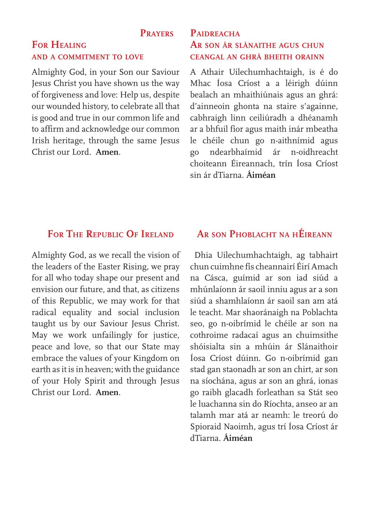#### **Prayers**

## **For Healing and a commitment to love**

Almighty God, in your Son our Saviour Jesus Christ you have shown us the way of forgiveness and love: Help us, despite our wounded history, to celebrate all that is good and true in our common life and to affirm and acknowledge our common Irish heritage, through the same Jesus Christ our Lord. **Amen**.

# **Paidreacha Ar son ár slánaithe agus chun ceangal an ghrá bheith orainn**

A Athair Uilechumhachtaigh, is é do Mhac Íosa Críost a a léirigh dúinn bealach an mhaithiúnais agus an ghrá: d'ainneoin ghonta na staire s'againne, cabhraigh linn ceiliúradh a dhéanamh ar a bhfuil fíor agus maith inár mbeatha le chéile chun go n-aithnímid agus go ndearbhaímid ár n-oidhreacht choiteann Éireannach, trín Íosa Críost sin ár dTiarna. **Áiméan**

# **For The Republic Of Ireland**

Almighty God, as we recall the vision of the leaders of the Easter Rising, we pray for all who today shape our present and envision our future, and that, as citizens of this Republic, we may work for that radical equality and social inclusion taught us by our Saviour Jesus Christ. May we work unfailingly for justice, peace and love, so that our State may embrace the values of your Kingdom on earth as it is in heaven; with the guidance of your Holy Spirit and through Jesus Christ our Lord. **Amen**.

# **Ar son Phoblacht na hÉireann**

 Dhia Uilechumhachtaigh, ag tabhairt chun cuimhne fís cheannairí Éirí Amach na Cásca, guímid ar son iad siúd a mhúnlaíonn ár saoil inniu agus ar a son siúd a shamhlaíonn ár saoil san am atá le teacht. Mar shaoránaigh na Poblachta seo, go n-oibrímid le chéile ar son na cothroime radacaí agus an chuimsithe shóisialta sin a mhúin ár Slánaithoir Íosa Críost dúinn. Go n-oibrímid gan stad gan staonadh ar son an chirt, ar son na síochána, agus ar son an ghrá, ionas go raibh glacadh forleathan sa Stát seo le luachanna sin do Ríochta, anseo ar an talamh mar atá ar neamh: le treorú do Spioraid Naoimh, agus trí Íosa Críost ár dTiarna. **Áiméan**